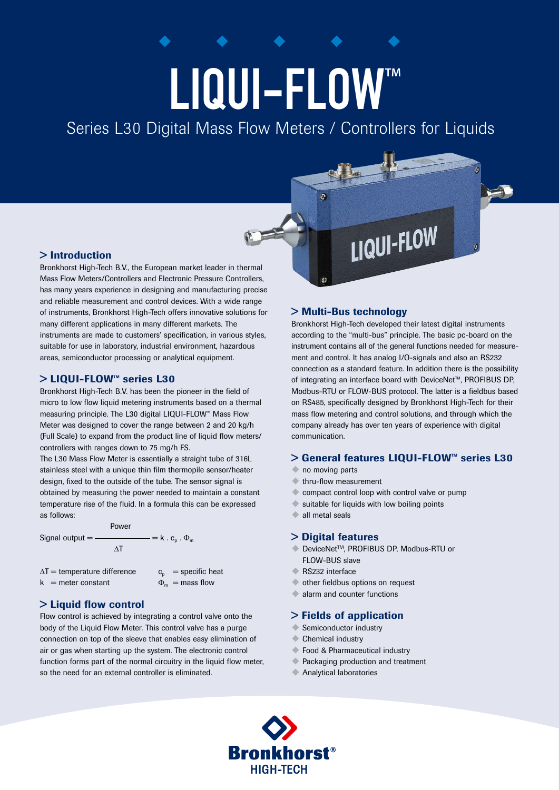# LIQUI-FLOW

Series L30 Digital Mass Flow Meters / Controllers for Liquids

## > Introduction

Bronkhorst High-Tech B.V., the European market leader in thermal Mass Flow Meters/Controllers and Electronic Pressure Controllers, has many years experience in designing and manufacturing precise and reliable measurement and control devices. With a wide range of instruments, Bronkhorst High-Tech offers innovative solutions for many different applications in many different markets. The instruments are made to customers' specification, in various styles, suitable for use in laboratory, industrial environment, hazardous areas, semiconductor processing or analytical equipment.

## > LIQUI-FLOW<sup>™</sup> series L30

Bronkhorst High-Tech B.V. has been the pioneer in the field of micro to low flow liquid metering instruments based on a thermal measuring principle. The L30 digital LIQUI-FLOW<sup>™</sup> Mass Flow Meter was designed to cover the range between 2 and 20 kg/h (Full Scale) to expand from the product line of liquid flow meters/ controllers with ranges down to 75 mg/h FS.

The L30 Mass Flow Meter is essentially a straight tube of 316L stainless steel with a unique thin film thermopile sensor/heater design, fixed to the outside of the tube. The sensor signal is obtained by measuring the power needed to maintain a constant temperature rise of the fluid. In a formula this can be expressed as follows:

 Power Signal output =  $\frac{m}{n}$  = k . c<sub>p</sub> .  $\Phi_m$ **ΔT** ΔT  $\Delta T$  = temperature difference  $c_n$  = specific heat

 $k =$  meter constant  $\Phi_m =$  mass flow

# > Liquid flow control

Flow control is achieved by integrating a control valve onto the body of the Liquid Flow Meter. This control valve has a purge connection on top of the sleeve that enables easy elimination of air or gas when starting up the system. The electronic control function forms part of the normal circuitry in the liquid flow meter. so the need for an external controller is eliminated.

# > Multi-Bus technology

 $\overline{c}$ 

Bronkhorst High-Tech developed their latest digital instruments according to the "multi-bus" principle. The basic pc-board on the instrument contains all of the general functions needed for measurement and control. It has analog I/O-signals and also an RS232 connection as a standard feature. In addition there is the possibility of integrating an interface board with DeviceNet™, PROFIBUS DP, Modbus-RTU or FLOW-BUS protocol. The latter is a fieldbus based on RS485, specifically designed by Bronkhorst High-Tech for their mass flow metering and control solutions, and through which the company already has over ten years of experience with digital communication.

LIQUI-FLOW

# > General features LIQUI-FLOW™ series L30

- no moving parts
- $\triangle$  thru-flow measurement
- compact control loop with control valve or pump
- suitable for liquids with low boiling points
- all metal seals

## > Digital features

- DeviceNet<sup>™</sup>, PROFIBUS DP, Modbus-RTU or FLOW-BUS slave
- $\triangle$  RS232 interface
- u other fieldbus options on request
- alarm and counter functions

## > Fields of application

- Semiconductor industry
- $\triangle$  Chemical industry
- Food & Pharmaceutical industry
- ← Packaging production and treatment
- Analytical laboratories